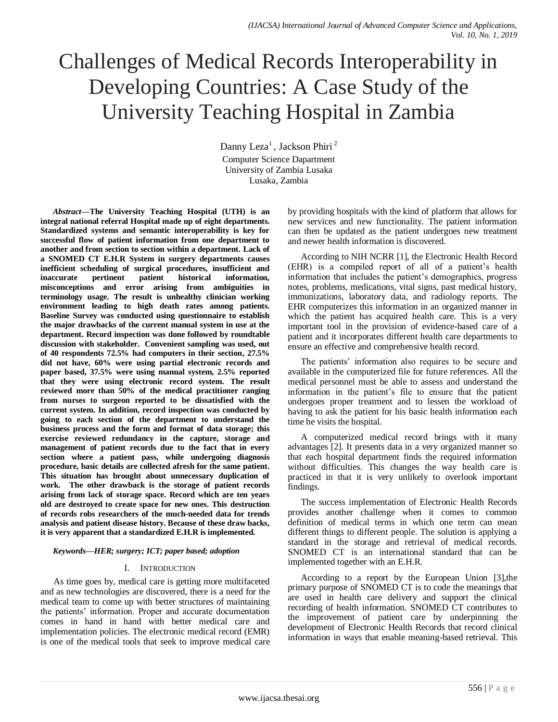# Challenges of Medical Records Interoperability in Developing Countries: A Case Study of the University Teaching Hospital in Zambia

Danny Leza<sup>1</sup>, Jackson Phiri<sup>2</sup> Computer Science Dapartment University of Zambia Lusaka Lusaka, Zambia

*Abstract***—The University Teaching Hospital (UTH) is an integral national referral Hospital made up of eight departments. Standardized systems and semantic interoperability is key for successful flow of patient information from one department to another and from section to section within a department. Lack of a SNOMED CT E.H.R System in surgery departments causes inefficient scheduling of surgical procedures, insufficient and inaccurate pertinent patient historical information, misconceptions and error arising from ambiguities in terminology usage. The result is unhealthy clinician working environment leading to high death rates among patients. Baseline Survey was conducted using questionnaire to establish the major drawbacks of the current manual system in use at the department. Record inspection was done followed by roundtable discussion with stakeholder. Convenient sampling was used, out of 40 respondents 72.5% had computers in their section, 27.5% did not have, 60% were using partial electronic records and paper based, 37.5% were using manual system, 2.5% reported that they were using electronic record system. The result reviewed more than 50% of the medical practitioner ranging from nurses to surgeon reported to be dissatisfied with the current system. In addition, record inspection was conducted by going to each section of the department to understand the business process and the form and format of data storage; this exercise reviewed redundancy in the capture, storage and management of patient records due to the fact that in every section where a patient pass, while undergoing diagnosis procedure, basic details are collected afresh for the same patient. This situation has brought about unnecessary duplication of work. The other drawback is the storage of patient records arising from lack of storage space. Record which are ten years old are destroyed to create space for new ones. This destruction of records robs researchers of the much-needed data for trends analysis and patient disease history. Because of these draw backs, it is very apparent that a standardized E.H.R is implemented.**

# *Keywords—HER; surgery; ICT; paper based; adoption*

# I. INTRODUCTION

As time goes by, medical care is getting more multifaceted and as new technologies are discovered, there is a need for the medical team to come up with better structures of maintaining the patients' information. Proper and accurate documentation comes in hand in hand with better medical care and implementation policies. The electronic medical record (EMR) is one of the medical tools that seek to improve medical care by providing hospitals with the kind of platform that allows for new services and new functionality. The patient information can then be updated as the patient undergoes new treatment and newer health information is discovered.

According to NIH NCRR [1], the Electronic Health Record (EHR) is a compiled report of all of a patient"s health information that includes the patient"s demographics, progress notes, problems, medications, vital signs, past medical history, immunizations, laboratory data, and radiology reports. The EHR computerizes this information in an organized manner in which the patient has acquired health care. This is a very important tool in the provision of evidence-based care of a patient and it incorporates different health care departments to ensure an effective and comprehensive health record.

The patients' information also requires to be secure and available in the computerized file for future references. All the medical personnel must be able to assess and understand the information in the patient"s file to ensure that the patient undergoes proper treatment and to lessen the workload of having to ask the patient for his basic health information each time he visits the hospital.

A computerized medical record brings with it many advantages [2]. It presents data in a very organized manner so that each hospital department finds the required information without difficulties. This changes the way health care is practiced in that it is very unlikely to overlook important findings.

The success implementation of Electronic Health Records provides another challenge when it comes to common definition of medical terms in which one term can mean different things to different people. The solution is applying a standard in the storage and retrieval of medical records. SNOMED CT is an international standard that can be implemented together with an E.H.R.

According to a report by the European Union [3],the primary purpose of SNOMED CT is to code the meanings that are used in health care delivery and support the clinical recording of health information. SNOMED CT contributes to the improvement of patient care by underpinning the development of Electronic Health Records that record clinical information in ways that enable meaning-based retrieval. This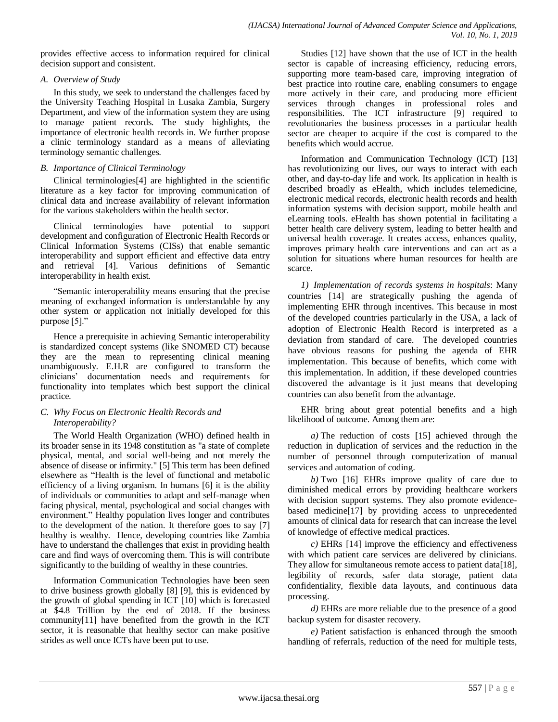provides effective access to information required for clinical decision support and consistent.

# *A. Overview of Study*

In this study, we seek to understand the challenges faced by the University Teaching Hospital in Lusaka Zambia, Surgery Department, and view of the information system they are using to manage patient records. The study highlights, the importance of electronic health records in. We further propose a clinic terminology standard as a means of alleviating terminology semantic challenges.

# *B. Importance of Clinical Terminology*

Clinical terminologies[4] are highlighted in the scientific literature as a key factor for improving communication of clinical data and increase availability of relevant information for the various stakeholders within the health sector.

Clinical terminologies have potential to support development and configuration of Electronic Health Records or Clinical Information Systems (CISs) that enable semantic interoperability and support efficient and effective data entry and retrieval [4]. Various definitions of Semantic interoperability in health exist.

"Semantic interoperability means ensuring that the precise meaning of exchanged information is understandable by any other system or application not initially developed for this purpose [5]."

Hence a prerequisite in achieving Semantic interoperability is standardized concept systems (like SNOMED CT) because they are the mean to representing clinical meaning unambiguously. E.H.R are configured to transform the clinicians" documentation needs and requirements for functionality into templates which best support the clinical practice.

# *C. Why Focus on Electronic Health Records and Interoperability?*

The World Health Organization (WHO) defined health in its broader sense in its 1948 constitution as "a state of complete physical, mental, and social well-being and not merely the absence of disease or infirmity." [5] This term has been defined elsewhere as "Health is the level of functional and metabolic efficiency of a living organism. In humans [6] it is the ability of individuals or communities to adapt and self-manage when facing physical, mental, psychological and social changes with environment." Healthy population lives longer and contributes to the development of the nation. It therefore goes to say [7] healthy is wealthy. Hence, developing countries like Zambia have to understand the challenges that exist in providing health care and find ways of overcoming them. This is will contribute significantly to the building of wealthy in these countries.

Information Communication Technologies have been seen to drive business growth globally [8] [9], this is evidenced by the growth of global spending in ICT [10] which is forecasted at \$4.8 Trillion by the end of 2018. If the business community[11] have benefited from the growth in the ICT sector, it is reasonable that healthy sector can make positive strides as well once ICTs have been put to use.

Studies [12] have shown that the use of ICT in the health sector is capable of increasing efficiency, reducing errors, supporting more team-based care, improving integration of best practice into routine care, enabling consumers to engage more actively in their care, and producing more efficient services through changes in professional roles and responsibilities. The ICT infrastructure [9] required to revolutionaries the business processes in a particular health sector are cheaper to acquire if the cost is compared to the benefits which would accrue.

Information and Communication Technology (ICT) [13] has revolutionizing our lives, our ways to interact with each other, and day-to-day life and work. Its application in health is described broadly as eHealth, which includes telemedicine, electronic medical records, electronic health records and health information systems with decision support, mobile health and eLearning tools. eHealth has shown potential in facilitating a better health care delivery system, leading to better health and universal health coverage. It creates access, enhances quality, improves primary health care interventions and can act as a solution for situations where human resources for health are scarce.

*1) Implementation of records systems in hospitals*: Many countries [14] are strategically pushing the agenda of implementing EHR through incentives. This because in most of the developed countries particularly in the USA, a lack of adoption of Electronic Health Record is interpreted as a deviation from standard of care. The developed countries have obvious reasons for pushing the agenda of EHR implementation. This because of benefits, which come with this implementation. In addition, if these developed countries discovered the advantage is it just means that developing countries can also benefit from the advantage.

EHR bring about great potential benefits and a high likelihood of outcome. Among them are:

*a)* The reduction of costs [15] achieved through the reduction in duplication of services and the reduction in the number of personnel through computerization of manual services and automation of coding.

*b)* Two [16] EHRs improve quality of care due to diminished medical errors by providing healthcare workers with decision support systems. They also promote evidencebased medicine[17] by providing access to unprecedented amounts of clinical data for research that can increase the level of knowledge of effective medical practices.

*c)* EHRs [14] improve the efficiency and effectiveness with which patient care services are delivered by clinicians. They allow for simultaneous remote access to patient data[18], legibility of records, safer data storage, patient data confidentiality, flexible data layouts, and continuous data processing.

*d)* EHRs are more reliable due to the presence of a good backup system for disaster recovery.

*e)* Patient satisfaction is enhanced through the smooth handling of referrals, reduction of the need for multiple tests,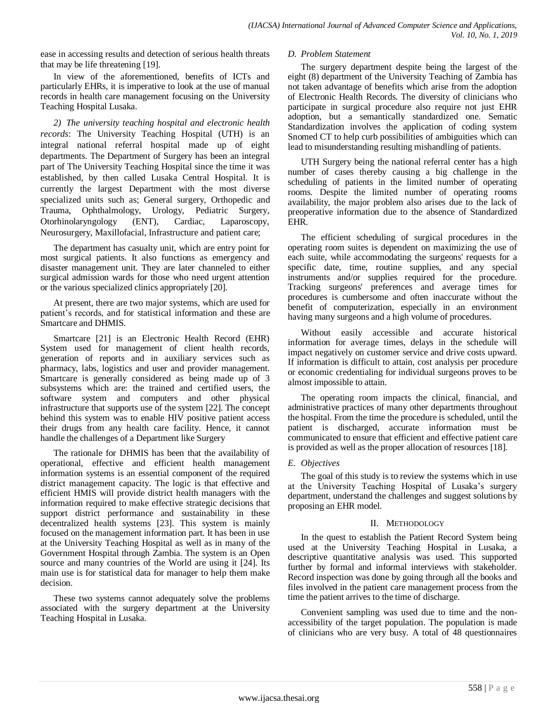ease in accessing results and detection of serious health threats that may be life threatening [19].

In view of the aforementioned, benefits of ICTs and particularly EHRs, it is imperative to look at the use of manual records in health care management focusing on the University Teaching Hospital Lusaka.

*2) The university teaching hospital and electronic health records*: The University Teaching Hospital (UTH) is an integral national referral hospital made up of eight departments. The Department of Surgery has been an integral part of The University Teaching Hospital since the time it was established, by then called Lusaka Central Hospital. It is currently the largest Department with the most diverse specialized units such as; General surgery, Orthopedic and Trauma, Ophthalmology, Urology, Pediatric Surgery, Otorhinolaryngology (ENT), Cardiac, Laparoscopy, Neurosurgery, Maxillofacial, Infrastructure and patient care;

The department has casualty unit, which are entry point for most surgical patients. It also functions as emergency and disaster management unit. They are later channeled to either surgical admission wards for those who need urgent attention or the various specialized clinics appropriately [20].

At present, there are two major systems, which are used for patient"s records, and for statistical information and these are Smartcare and DHMIS.

Smartcare [21] is an Electronic Health Record (EHR) System used for management of client health records, generation of reports and in auxiliary services such as pharmacy, labs, logistics and user and provider management. Smartcare is generally considered as being made up of 3 subsystems which are: the trained and certified users, the software system and computers and other physical infrastructure that supports use of the system [22]. The concept behind this system was to enable HIV positive patient access their drugs from any health care facility. Hence, it cannot handle the challenges of a Department like Surgery

The rationale for DHMIS has been that the availability of operational, effective and efficient health management information systems is an essential component of the required district management capacity. The logic is that effective and efficient HMIS will provide district health managers with the information required to make effective strategic decisions that support district performance and sustainability in these decentralized health systems [23]. This system is mainly focused on the management information part. It has been in use at the University Teaching Hospital as well as in many of the Government Hospital through Zambia. The system is an Open source and many countries of the World are using it [24]. Its main use is for statistical data for manager to help them make decision.

These two systems cannot adequately solve the problems associated with the surgery department at the University Teaching Hospital in Lusaka.

# *D. Problem Statement*

The surgery department despite being the largest of the eight (8) department of the University Teaching of Zambia has not taken advantage of benefits which arise from the adoption of Electronic Health Records. The diversity of clinicians who participate in surgical procedure also require not just EHR adoption, but a semantically standardized one. Sematic Standardization involves the application of coding system Snomed CT to help curb possibilities of ambiguities which can lead to misunderstanding resulting mishandling of patients.

UTH Surgery being the national referral center has a high number of cases thereby causing a big challenge in the scheduling of patients in the limited number of operating rooms. Despite the limited number of operating rooms availability, the major problem also arises due to the lack of preoperative information due to the absence of Standardized EHR.

The efficient scheduling of surgical procedures in the operating room suites is dependent on maximizing the use of each suite, while accommodating the surgeons' requests for a specific date, time, routine supplies, and any special instruments and/or supplies required for the procedure. Tracking surgeons' preferences and average times for procedures is cumbersome and often inaccurate without the benefit of computerization, especially in an environment having many surgeons and a high volume of procedures.

Without easily accessible and accurate historical information for average times, delays in the schedule will impact negatively on customer service and drive costs upward. If information is difficult to attain, cost analysis per procedure or economic credentialing for individual surgeons proves to be almost impossible to attain.

The operating room impacts the clinical, financial, and administrative practices of many other departments throughout the hospital. From the time the procedure is scheduled, until the patient is discharged, accurate information must be communicated to ensure that efficient and effective patient care is provided as well as the proper allocation of resources [18].

# *E. Objectives*

The goal of this study is to review the systems which in use at the University Teaching Hospital of Lusaka"s surgery department, understand the challenges and suggest solutions by proposing an EHR model.

# II. METHODOLOGY

In the quest to establish the Patient Record System being used at the University Teaching Hospital in Lusaka, a descriptive quantitative analysis was used. This supported further by formal and informal interviews with stakeholder. Record inspection was done by going through all the books and files involved in the patient care management process from the time the patient arrives to the time of discharge.

Convenient sampling was used due to time and the nonaccessibility of the target population. The population is made of clinicians who are very busy. A total of 48 questionnaires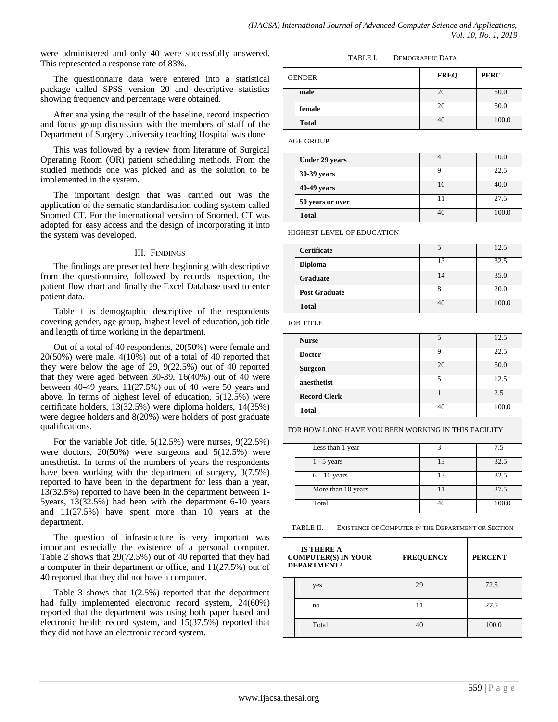were administered and only 40 were successfully answered. This represented a response rate of 83%.

The questionnaire data were entered into a statistical package called SPSS version 20 and descriptive statistics showing frequency and percentage were obtained.

After analysing the result of the baseline, record inspection and focus group discussion with the members of staff of the Department of Surgery University teaching Hospital was done.

This was followed by a review from literature of Surgical Operating Room (OR) patient scheduling methods. From the studied methods one was picked and as the solution to be implemented in the system.

The important design that was carried out was the application of the sematic standardisation coding system called Snomed CT. For the international version of Snomed, CT was adopted for easy access and the design of incorporating it into the system was developed.

# III. FINDINGS

The findings are presented here beginning with descriptive from the questionnaire, followed by records inspection, the patient flow chart and finally the Excel Database used to enter patient data.

Table 1 is demographic descriptive of the respondents covering gender, age group, highest level of education, job title and length of time working in the department.

Out of a total of 40 respondents, 20(50%) were female and 20(50%) were male. 4(10%) out of a total of 40 reported that they were below the age of 29, 9(22.5%) out of 40 reported that they were aged between 30-39, 16(40%) out of 40 were between 40-49 years, 11(27.5%) out of 40 were 50 years and above. In terms of highest level of education, 5(12.5%) were certificate holders, 13(32.5%) were diploma holders, 14(35%) were degree holders and 8(20%) were holders of post graduate qualifications.

For the variable Job title, 5(12.5%) were nurses, 9(22.5%) were doctors, 20(50%) were surgeons and 5(12.5%) were anesthetist. In terms of the numbers of years the respondents have been working with the department of surgery, 3(7.5%) reported to have been in the department for less than a year, 13(32.5%) reported to have been in the department between 1- 5years, 13(32.5%) had been with the department 6-10 years and 11(27.5%) have spent more than 10 years at the department.

The question of infrastructure is very important was important especially the existence of a personal computer. Table 2 shows that 29(72.5%) out of 40 reported that they had a computer in their department or office, and 11(27.5%) out of 40 reported that they did not have a computer.

Table 3 shows that 1(2.5%) reported that the department had fully implemented electronic record system, 24(60%) reported that the department was using both paper based and electronic health record system, and 15(37.5%) reported that they did not have an electronic record system.

#### TABLE I. DEMOGRAPHIC DATA

| <b>GENDER</b> | <b>FREQ</b> | <b>PERC</b> |
|---------------|-------------|-------------|
| male          | 20          | 50.0        |
| female        | 20          | 50.0        |
| <b>Total</b>  |             | 100.0       |

AGE GROUP

|                       |    | 10.0  |
|-----------------------|----|-------|
| <b>Under 29 years</b> |    |       |
| 30-39 years           |    | 22.5  |
| $40-49$ years         | 16 | 40.0  |
| 50 years or over      | 11 | 27.5  |
| <b>Total</b>          | 40 | 100.0 |

HIGHEST LEVEL OF EDUCATION

| <b>Certificate</b>   | 5  | 12.5  |
|----------------------|----|-------|
| <b>Diploma</b>       | 13 | 32.5  |
| Graduate             | 14 | 35.0  |
| <b>Post Graduate</b> | 8  | 20.0  |
| <b>Total</b>         | 40 | 100.0 |
| <b>JOB TITLE</b>     |    |       |
| <b>Nurse</b>         | 5  | 12.5  |
| <b>Doctor</b>        | 9  | 22.5  |
| <b>Surgeon</b>       | 20 | 50.0  |
| anesthetist          | 5  | 12.5  |
| <b>Record Clerk</b>  | 1  | 2.5   |
| <b>Total</b>         | 40 | 100.0 |
|                      |    |       |

FOR HOW LONG HAVE YOU BEEN WORKING IN THIS FACILITY

| Less than 1 year   | 2  | 7.5   |
|--------------------|----|-------|
| $1 - 5$ years      | 13 | 32.5  |
| $6 - 10$ years     | 13 | 32.5  |
| More than 10 years |    | 27.5  |
| Total              | 40 | 100.0 |

| EXISTENCE OF COMPUTER IN THE DEPARTMENT OR SECTION<br>TABLE II. |  |
|-----------------------------------------------------------------|--|
|-----------------------------------------------------------------|--|

| <b>IS THERE A</b><br><b>COMPUTER(S) IN YOUR</b><br>DEPARTMENT? | <b>FREQUENCY</b> | <b>PERCENT</b> |
|----------------------------------------------------------------|------------------|----------------|
| yes                                                            | 29               | 72.5           |
| no                                                             | 11               | 27.5           |
| Total                                                          | 40               | 100.0          |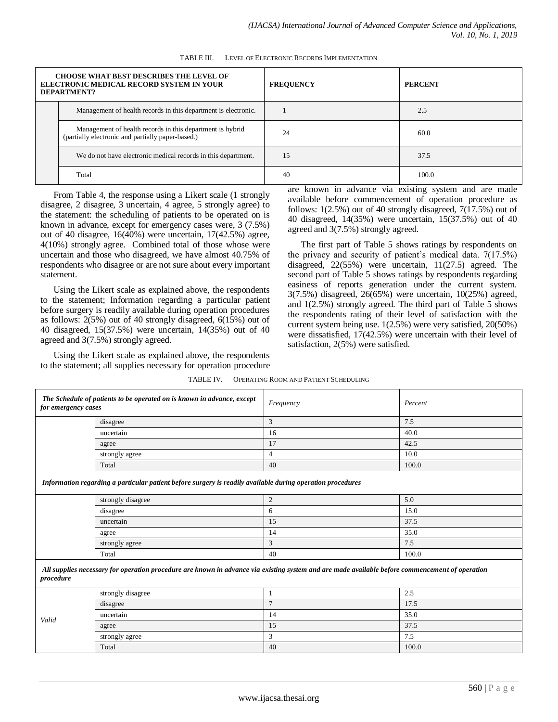| <b>CHOOSE WHAT BEST DESCRIBES THE LEVEL OF</b><br>ELECTRONIC MEDICAL RECORD SYSTEM IN YOUR<br><b>DEPARTMENT?</b> | <b>FREQUENCY</b> | <b>PERCENT</b> |
|------------------------------------------------------------------------------------------------------------------|------------------|----------------|
| Management of health records in this department is electronic.                                                   |                  | 2.5            |
| Management of health records in this department is hybrid<br>(partially electronic and partially paper-based.)   | 24               | 60.0           |
| We do not have electronic medical records in this department.                                                    | 1.5              | 37.5           |
| Total                                                                                                            | 40               | 100.0          |

TABLE III. LEVEL OF ELECTRONIC RECORDS IMPLEMENTATION

From Table 4, the response using a Likert scale (1 strongly disagree, 2 disagree, 3 uncertain, 4 agree, 5 strongly agree) to the statement: the scheduling of patients to be operated on is known in advance, except for emergency cases were, 3 (7.5%) out of 40 disagree, 16(40%) were uncertain, 17(42.5%) agree, 4(10%) strongly agree. Combined total of those whose were uncertain and those who disagreed, we have almost 40.75% of respondents who disagree or are not sure about every important statement.

Using the Likert scale as explained above, the respondents to the statement; Information regarding a particular patient before surgery is readily available during operation procedures as follows: 2(5%) out of 40 strongly disagreed, 6(15%) out of 40 disagreed, 15(37.5%) were uncertain, 14(35%) out of 40 agreed and 3(7.5%) strongly agreed.

Using the Likert scale as explained above, the respondents to the statement; all supplies necessary for operation procedure are known in advance via existing system and are made available before commencement of operation procedure as follows: 1(2.5%) out of 40 strongly disagreed, 7(17.5%) out of 40 disagreed, 14(35%) were uncertain, 15(37.5%) out of 40 agreed and 3(7.5%) strongly agreed.

The first part of Table 5 shows ratings by respondents on the privacy and security of patient's medical data.  $7(17.5%)$ disagreed, 22(55%) were uncertain, 11(27.5) agreed. The second part of Table 5 shows ratings by respondents regarding easiness of reports generation under the current system. 3(7.5%) disagreed, 26(65%) were uncertain, 10(25%) agreed, and 1(2.5%) strongly agreed. The third part of Table 5 shows the respondents rating of their level of satisfaction with the current system being use. 1(2.5%) were very satisfied, 20(50%) were dissatisfied, 17(42.5%) were uncertain with their level of satisfaction, 2(5%) were satisfied.

| for emergency cases | The Schedule of patients to be operated on is known in advance, except                                                                          | Frequency      | Percent              |  |
|---------------------|-------------------------------------------------------------------------------------------------------------------------------------------------|----------------|----------------------|--|
|                     | disagree                                                                                                                                        | 3              | 7.5                  |  |
|                     | uncertain                                                                                                                                       | 16             | 40.0                 |  |
|                     | agree                                                                                                                                           | 17             | 42.5                 |  |
|                     | strongly agree                                                                                                                                  | $\overline{4}$ | 10.0                 |  |
|                     | Total                                                                                                                                           | 40             | 100.0                |  |
|                     | Information regarding a particular patient before surgery is readily available during operation procedures                                      |                |                      |  |
|                     | strongly disagree                                                                                                                               | $\overline{c}$ | 5.0                  |  |
|                     | disagree                                                                                                                                        | 6              | 15.0                 |  |
|                     | uncertain                                                                                                                                       | 15             | 37.5                 |  |
|                     | agree                                                                                                                                           | 14             | 35.0<br>7.5<br>100.0 |  |
|                     | strongly agree                                                                                                                                  | 3              |                      |  |
|                     | Total                                                                                                                                           | 40             |                      |  |
| procedure           | All supplies necessary for operation procedure are known in advance via existing system and are made available before commencement of operation |                |                      |  |
|                     | strongly disagree                                                                                                                               | 1              | 2.5                  |  |
|                     | disagree                                                                                                                                        | $\overline{7}$ | 17.5                 |  |
|                     | uncertain                                                                                                                                       | 14             | 35.0                 |  |
| Valid               | agree                                                                                                                                           | 15             | 37.5                 |  |
|                     | strongly agree                                                                                                                                  | 3              | 7.5                  |  |
|                     | Total                                                                                                                                           | 40             | 100.0                |  |

#### TABLE IV. OPERATING ROOM AND PATIENT SCHEDULING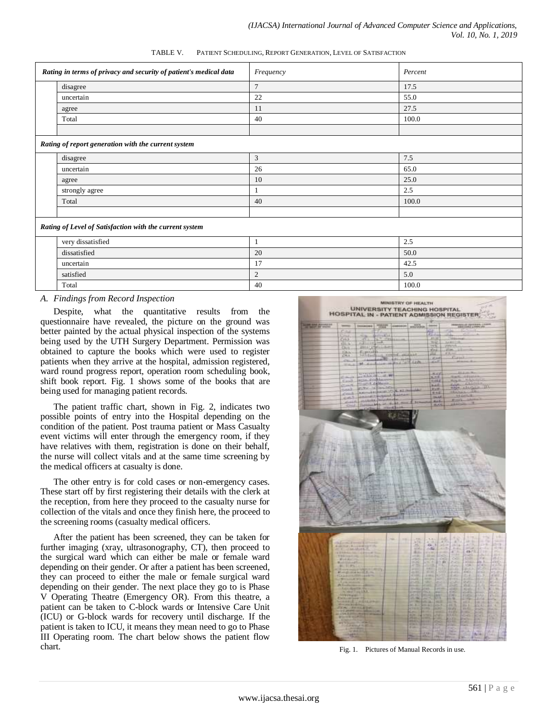| TABLE V. | PATIENT SCHEDULING, REPORT GENERATION, LEVEL OF SATISFACTION |  |
|----------|--------------------------------------------------------------|--|
|          |                                                              |  |

| Rating in terms of privacy and security of patient's medical data |                                                         | Frequency      | Percent |
|-------------------------------------------------------------------|---------------------------------------------------------|----------------|---------|
|                                                                   | disagree                                                | $\overline{7}$ | 17.5    |
|                                                                   | uncertain                                               | 22             | 55.0    |
|                                                                   | agree                                                   | 11             | 27.5    |
|                                                                   | Total                                                   | 40             | 100.0   |
|                                                                   |                                                         |                |         |
|                                                                   | Rating of report generation with the current system     |                |         |
|                                                                   | disagree                                                | 3              | 7.5     |
|                                                                   | uncertain                                               | 26             | 65.0    |
|                                                                   | agree                                                   | 10             | 25.0    |
|                                                                   | strongly agree                                          |                | 2.5     |
|                                                                   | Total                                                   | 40             | 100.0   |
|                                                                   |                                                         |                |         |
|                                                                   | Rating of Level of Satisfaction with the current system |                |         |
|                                                                   | very dissatisfied                                       | 1              | 2.5     |
|                                                                   | dissatisfied                                            | 20             | 50.0    |
|                                                                   | uncertain                                               | 17             | 42.5    |

satisfied  $\begin{array}{|c|c|c|c|c|c|c|c|c|} \hline 2 & 5.0 & 5.0 \hline \end{array}$  $\begin{array}{|c|c|c|c|c|c|c|c|c|} \hline \end{array}$  100.0  $\begin{array}{|c|c|c|c|c|c|c|c|} \hline \end{array}$  100.0  $\begin{array}{|c|c|c|c|c|c|c|c|c|} \hline \end{array}$ 

#### *A. Findings from Record Inspection*

Despite, what the quantitative results from the questionnaire have revealed, the picture on the ground was better painted by the actual physical inspection of the systems being used by the UTH Surgery Department. Permission was obtained to capture the books which were used to register patients when they arrive at the hospital, admission registered, ward round progress report, operation room scheduling book, shift book report. Fig. 1 shows some of the books that are being used for managing patient records.

The patient traffic chart, shown in Fig. 2, indicates two possible points of entry into the Hospital depending on the condition of the patient. Post trauma patient or Mass Casualty event victims will enter through the emergency room, if they have relatives with them, registration is done on their behalf, the nurse will collect vitals and at the same time screening by the medical officers at casualty is done.

The other entry is for cold cases or non-emergency cases. These start off by first registering their details with the clerk at the reception, from here they proceed to the casualty nurse for collection of the vitals and once they finish here, the proceed to the screening rooms (casualty medical officers.

After the patient has been screened, they can be taken for further imaging (xray, ultrasonography, CT), then proceed to the surgical ward which can either be male or female ward depending on their gender. Or after a patient has been screened, they can proceed to either the male or female surgical ward depending on their gender. The next place they go to is Phase V Operating Theatre (Emergency OR). From this theatre, a patient can be taken to C-block wards or Intensive Care Unit (ICU) or G-block wards for recovery until discharge. If the patient is taken to ICU, it means they mean need to go to Phase III Operating room. The chart below shows the patient flow chart. Fig. 1. Pictures of Manual Records in use.

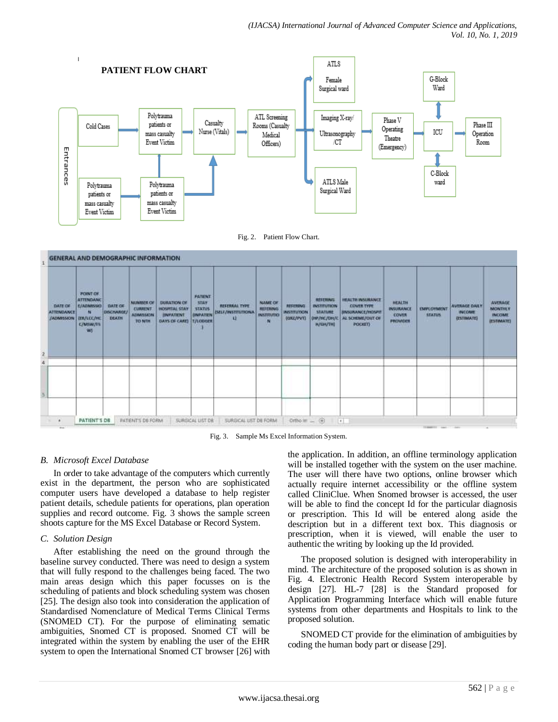



| $\mathbf{I}$ |                                                          |                                                                                                                |                                       | <b>GENERAL AND DEMOGRAPHIC INFORMATION</b>                                               |                                                                                       |                                                                 |                                                                           |                                                      |                                                    |                                                                                              |                                                                                                                                                      |                                                                         |                                    |                                                                           |                                                          |
|--------------|----------------------------------------------------------|----------------------------------------------------------------------------------------------------------------|---------------------------------------|------------------------------------------------------------------------------------------|---------------------------------------------------------------------------------------|-----------------------------------------------------------------|---------------------------------------------------------------------------|------------------------------------------------------|----------------------------------------------------|----------------------------------------------------------------------------------------------|------------------------------------------------------------------------------------------------------------------------------------------------------|-------------------------------------------------------------------------|------------------------------------|---------------------------------------------------------------------------|----------------------------------------------------------|
| 19           | <b>DATE OF</b><br><b>ATTENDANCE</b><br><b>/ADMISSION</b> | 500000<br><b>POINT OF</b><br><b>ATTENDANC</b><br>E/ADMISSIO<br>м<br><b>IER/LCC/HC</b><br><b>C/MWW/FS</b><br>WI | <b>DATE OF</b><br>DISCHARGE/<br>DEATH | <b>MUMBER OF</b><br><b>CURRENT</b><br><b>ADMISSION</b><br><b>TO NTH</b><br><b>CANTOO</b> | <b>DURATION OF</b><br>HOSPRIAL STAY<br><b><i>BNFATENT</i></b><br><b>DAYS OF CARE)</b> | PATIENT<br>STAY<br><b>STATUS</b><br>ONPATIEN<br><b>T/LODGER</b> | <b>NEW RIFE</b><br><b>REFERRAL TYPE</b><br><b>ISELF/INSTITUTIONA</b><br>u | NAME OF<br><b>REFERING</b><br><b>INSTITUTIO</b><br>м | <b><i>REFERING</i></b><br>INSTITUTION<br>(GRZ/PVT) | 11.197<br>REFERING<br><b>INSTITUTION</b><br>STATURE<br><b>DIP/HC/DN/C</b><br><b>H/GH/THI</b> | <b><i>STEPHEN BRAND BRAND</i></b><br><b>HEALTH INSURANCE</b><br><b>COVER TYPE</b><br><b>BIVSCRANCE/HOSPIT</b><br>AL SCHEME/OUT OIL<br><b>POCKET)</b> | <b>HEALTH</b><br>INSURANCE<br><b>COVER</b><br>PROVIDER<br><b>MARKET</b> | <b>EMPLOYMENT</b><br><b>STATUS</b> | <b>ALCOHOL: NO</b><br><b>AVERAGE DAILY</b><br><b>INCOME</b><br>(ESTIMATE) | AVERAGE<br><b>MONTHLY</b><br><b>INCOME</b><br>(ESTIMATE) |
|              |                                                          |                                                                                                                |                                       |                                                                                          |                                                                                       |                                                                 |                                                                           |                                                      |                                                    |                                                                                              |                                                                                                                                                      |                                                                         |                                    |                                                                           |                                                          |
|              |                                                          |                                                                                                                |                                       |                                                                                          |                                                                                       |                                                                 |                                                                           |                                                      |                                                    |                                                                                              |                                                                                                                                                      |                                                                         |                                    |                                                                           |                                                          |
|              |                                                          |                                                                                                                |                                       |                                                                                          |                                                                                       |                                                                 |                                                                           |                                                      |                                                    |                                                                                              |                                                                                                                                                      |                                                                         |                                    |                                                                           |                                                          |
|              | ٠<br><b>Shield</b>                                       | PATIENT'S DB                                                                                                   |                                       | <b><i>PATENTS DE FORM</i></b>                                                            |                                                                                       | SURGICAL LIST DR                                                | SURGICAL LIST DE FORM                                                     |                                                      | Ortho in  (4)                                      |                                                                                              | $\left  \cdot \right $                                                                                                                               |                                                                         | The American Inc.                  |                                                                           |                                                          |



# *B. Microsoft Excel Database*

In order to take advantage of the computers which currently exist in the department, the person who are sophisticated computer users have developed a database to help register patient details, schedule patients for operations, plan operation supplies and record outcome. Fig. 3 shows the sample screen shoots capture for the MS Excel Database or Record System.

# *C. Solution Design*

After establishing the need on the ground through the baseline survey conducted. There was need to design a system that will fully respond to the challenges being faced. The two main areas design which this paper focusses on is the scheduling of patients and block scheduling system was chosen [25]. The design also took into consideration the application of Standardised Nomenclature of Medical Terms Clinical Terms (SNOMED CT). For the purpose of eliminating sematic ambiguities, Snomed CT is proposed. Snomed CT will be integrated within the system by enabling the user of the EHR system to open the International Snomed CT browser [26] with the application. In addition, an offline terminology application will be installed together with the system on the user machine. The user will there have two options, online browser which actually require internet accessibility or the offline system called CliniClue. When Snomed browser is accessed, the user will be able to find the concept Id for the particular diagnosis or prescription. This Id will be entered along aside the description but in a different text box. This diagnosis or prescription, when it is viewed, will enable the user to authentic the writing by looking up the Id provided.

The proposed solution is designed with interoperability in mind. The architecture of the proposed solution is as shown in Fig. 4. Electronic Health Record System interoperable by design [27]. HL-7 [28] is the Standard proposed for Application Programming Interface which will enable future systems from other departments and Hospitals to link to the proposed solution.

SNOMED CT provide for the elimination of ambiguities by coding the human body part or disease [29].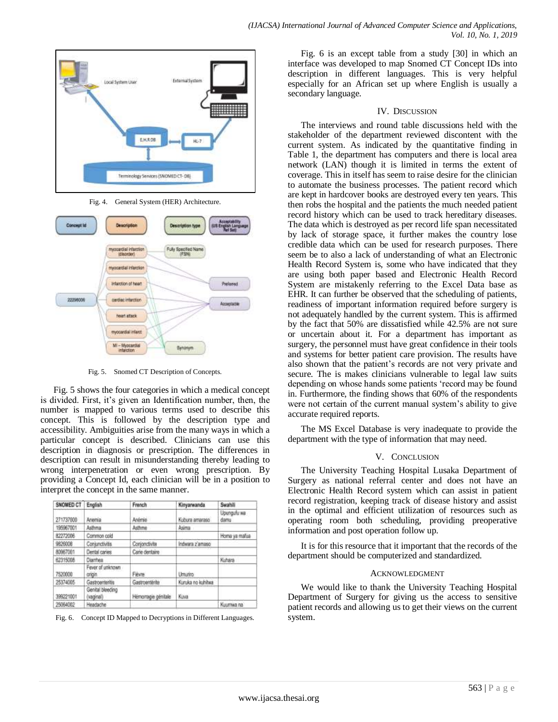

Fig. 4. General System (HER) Architecture.



Fig. 5. Snomed CT Description of Concepts.

Fig. 5 shows the four categories in which a medical concept is divided. First, it's given an Identification number, then, the number is mapped to various terms used to describe this concept. This is followed by the description type and accessibility. Ambiguities arise from the many ways in which a particular concept is described. Clinicians can use this description in diagnosis or prescription. The differences in description can result in misunderstanding thereby leading to wrong interpenetration or even wrong prescription. By providing a Concept Id, each clinician will be in a position to interpret the concept in the same manner.

| SNOMED CT       | English                      | French              | Kinyarwanda       | Swahili             |
|-----------------|------------------------------|---------------------|-------------------|---------------------|
| 271737000       | Anemia                       | Anémie              | Kubura amaraso    | Upungufu wa<br>damu |
| 195967001       | Ashma                        | Asthme              | Asima             |                     |
| 82272006        | Common cald                  |                     |                   | Homa ya mafua       |
| 9826008         | Conjunctivitis               | Conjonctivite       | Indwara z'amaso   |                     |
| 80967001        | Dental caries                | Carie dentaire      |                   |                     |
| 62315008        | Diamhea                      |                     |                   | Kuhara              |
| 7520000         | Fever of unknown<br>origin.  | Fievre              | <b>Umarino</b>    |                     |
| 25374005        | Gastroenteritis              | Gastroenterite      | Kuruka no kuhibwa |                     |
| --<br>399221001 | Genital bleeding<br>vaginal) | Hémorragie génitale | Kina              |                     |
| 25064002        | Headache                     |                     |                   | Kuumwa na           |

Fig. 6. Concept ID Mapped to Decryptions in Different Languages.

Fig. 6 is an except table from a study [30] in which an interface was developed to map Snomed CT Concept IDs into description in different languages. This is very helpful especially for an African set up where English is usually a secondary language.

### IV. DISCUSSION

The interviews and round table discussions held with the stakeholder of the department reviewed discontent with the current system. As indicated by the quantitative finding in Table 1, the department has computers and there is local area network (LAN) though it is limited in terms the extent of coverage. This in itself has seem to raise desire for the clinician to automate the business processes. The patient record which are kept in hardcover books are destroyed every ten years. This then robs the hospital and the patients the much needed patient record history which can be used to track hereditary diseases. The data which is destroyed as per record life span necessitated by lack of storage space, it further makes the country lose credible data which can be used for research purposes. There seem be to also a lack of understanding of what an Electronic Health Record System is, some who have indicated that they are using both paper based and Electronic Health Record System are mistakenly referring to the Excel Data base as EHR. It can further be observed that the scheduling of patients, readiness of important information required before surgery is not adequately handled by the current system. This is affirmed by the fact that 50% are dissatisfied while 42.5% are not sure or uncertain about it. For a department has important as surgery, the personnel must have great confidence in their tools and systems for better patient care provision. The results have also shown that the patient"s records are not very private and secure. The is makes clinicians vulnerable to legal law suits depending on whose hands some patients "record may be found in. Furthermore, the finding shows that 60% of the respondents were not certain of the current manual system"s ability to give accurate required reports.

The MS Excel Database is very inadequate to provide the department with the type of information that may need.

# V. CONCLUSION

The University Teaching Hospital Lusaka Department of Surgery as national referral center and does not have an Electronic Health Record system which can assist in patient record registration, keeping track of disease history and assist in the optimal and efficient utilization of resources such as operating room both scheduling, providing preoperative information and post operation follow up.

It is for this resource that it important that the records of the department should be computerized and standardized.

#### ACKNOWLEDGMENT

We would like to thank the University Teaching Hospital Department of Surgery for giving us the access to sensitive patient records and allowing us to get their views on the current system.